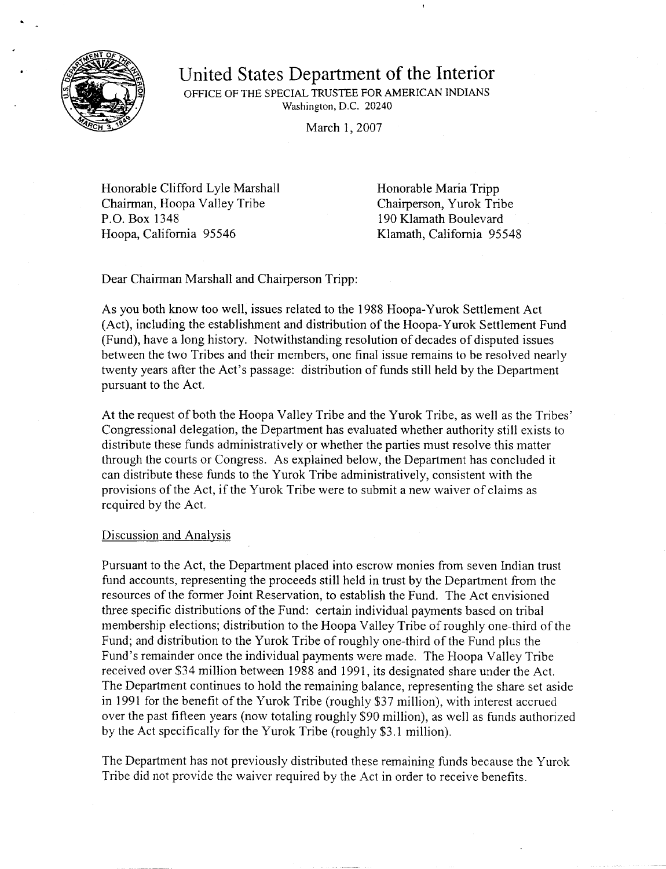

## United States Department of the Interior OFFICE OF THE SPECIAL TRUSTEE FOR AMERICAN INDIANS Washington, D.C. 20240

March 1, 2007

Honorable Clifford Lyle Marshall Chairman, Hoopa Valley Tribe P.O. Box 1348 Hoopa, California 95546

Honorable Maria Tripp Chairperson, Yurok Tribe 190 Klamath Boulevard Klamath, California 95548

Dear Chairman Marshall and Chairperson Tripp:

As you both know too well, issues related to the 1988 Hoopa-Yurok Settlement Act (Act), including the establishment and distribution of the Hoopa-Yurok Settlement Fund (Fund), have a long history. Notwithstanding resolution of decades of disputed issues between the two Tribes and their members, one final issue remains to be resolved nearly twenty years after the Act's passage: distribution of funds still held by the Department pursuant to the Act.

At the request of both the Hoopa Valley Tribe and the Yurok Tribe, as well as the Tribes' Congressional delegation, the Department has evaluated whether authority still exists to distribute these funds administratively or whether the parties must resolve this matter through the courts or Congress. As explained below, the Department has concluded it can distribute these funds to the Yurok Tribe administratively, consistent with the provisions of the Act, if the Yurok Tribe were to submit a new waiver of claims as required by the Act.

## Discussion and Analysis

Pursuant to the Act, the Department placed into escrow monies from seven Indian trust fund accounts, representing the proceeds still held in trust by the Department from the resources of the former Joint Reservation, to establish the Fund. The Act envisioned three specific distributions of the Fund: certain individual payments based on tribal membership elections; distribution to the Hoopa Valley Tribe of roughly one-third of the Fund; and distribution to the Yurok Tribe of roughly one-third of the Fund plus the Fund's remainder once the individual payments were made. The Hoopa Valley Tribe received over \$34 million between 1988 and 1991, its designated share under the Act. The Department continues to hold the remaining balance, representing the share set aside in 1991 for the benefit of the Yurok Tribe (roughly \$37 million), with interest accrued over the past fifteen years (now totaling roughly \$90 million), as well as funds authorized by the Act specifically for the Yurok Tribe (roughly \$3.1 million).

The Department has not previously distributed these remaining funds because the Yurok Tribe did not provide the waiver required by the Act in order to receive benefits.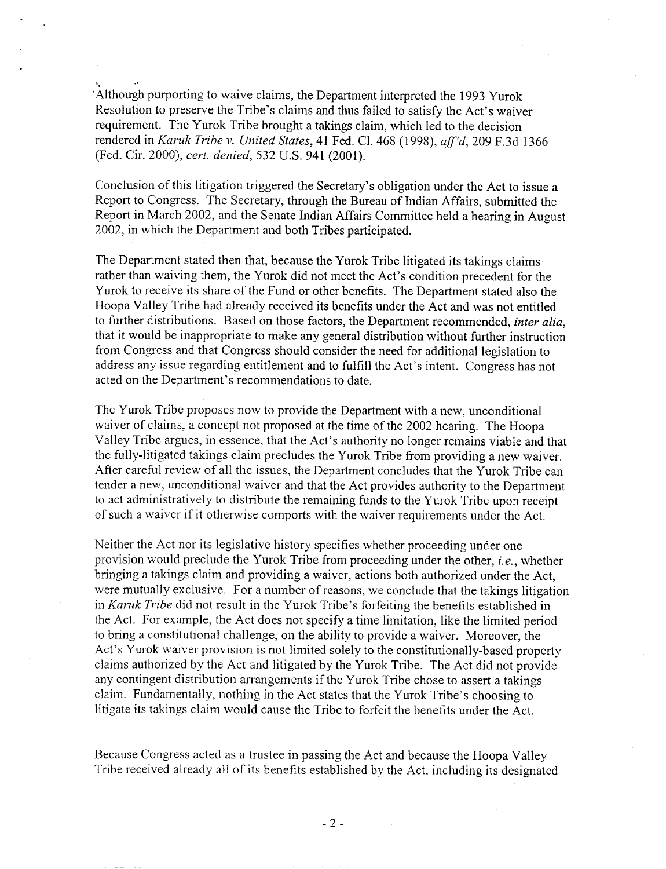'Although purporting to waive claims, the Department interpreted the 1993 Yurok Resolution to preserve the Tribe's claims and thus failed to satisfy the Act's waiver requirement. The Yurok Tribe brought a takings claim, which led to the decision rendered in Karuk Tribe v. United States, 41 Fed. Cl. 468 (1998), aff'd, 209 F.3d 1366 (Fed. Cir. 2000), cert. denied, 532 U.S. 941 (2001).

,

Conclusion of this litigation triggered the Secretary's obligation under the Act to issue a Report to Congress. The Secretary, through the Bureau of Indian Affairs, submitted the Report in March 2002, and the Senate Indian Affairs Committee held a hearing in August 2002, in which the Department and both Tribes participated.

The Department stated then that, because the Yurok Tribe litigated its takings claims rather than waiving them, the Yurok did not meet the Act's condition precedent for the Yurok to receive its share of the Fund or other benefits. The Department stated also the Hoopa Valley Tribe had already received its benefits under the Act and was not entitled to further distributions. Based on those factors, the Department recommended, inter alia, that it would be inappropriate to make any general distribution without further instruction from Congress and that Congress should consider the need for additional legislation to address any issue regarding entitlement and to fulfill the Act's intent. Congress has not acted on the Department's recommendations to date.

The Yurok Tribe proposes now to provide the Department with a new, unconditional waiver of claims, a concept not proposed at the time of the 2002 hearing. The Hoopa Valley Tribe argues, in essence, that the Act's authority no longer remains viable and that the fully-Jitigated takings claim precludes the Yurok Tribe from providing a new waiver. After careful review of all the issues, the Department concludes that the Yurok Tribe can tender a new, unconditional waiver and that the Act provides authority to the Department to act administratively to distribute the remaining funds to the Yurok Tribe upon receipt of such a waiver if it otherwise comports with the waiver requirements under the Act.

Neither the Act nor its legislative history specifies whether proceeding under one provision would preclude the Yurok Tribe from proceeding under the other, i.e., whether bringing a takings claim and providing a waiver, actions both authorized under the Act, were mutually exclusive. For a number of reasons, we conclude that the takings litigation in Karuk Tribe did not result in the Yurok Tribe's forfeiting the benefits established in the Act. For example, the Act does not specify a time limitation, like the limited period to bring a constitutional challenge, on the ability to provide a waiver. Moreover, the Act's Yurok waiver provision is not limited solely to the constitutionally-based property claims authorized by the Act and litigated by the Yurok Tribe. The Act did not provide any contingent distribution arrangements if the Yurok Tribe chose to assert a takings claim. Fundamentally, nothing in the Act states that the Yurok Tribe's choosing to litigate its takings claim would cause the Tribe to forfeit the benefits under the Act.

Because Congress acted as a trustee in passing the Act and because the Hoopa Valley Tribe received already all of its benefits established by the Act, including its designated

- 2 -